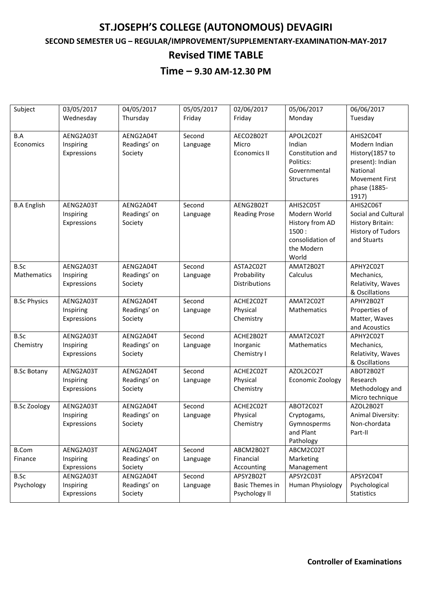# **ST.JOSEPH'S COLLEGE (AUTONOMOUS) DEVAGIRI**

#### **SECOND SEMESTER UG – REGULAR/IMPROVEMENT/SUPPLEMENTARY-EXAMINATION-MAY-2017**

### **Revised TIME TABLE**

### **Time – 9.30 AM-12.30 PM**

| Subject             | 03/05/2017  | 04/05/2017   | 05/05/2017 | 02/06/2017             | 05/06/2017       | 06/06/2017               |
|---------------------|-------------|--------------|------------|------------------------|------------------|--------------------------|
|                     | Wednesday   | Thursday     | Friday     | Friday                 | Monday           | Tuesday                  |
|                     |             |              |            |                        |                  |                          |
| B.A                 | AENG2A03T   | AENG2A04T    | Second     | AECO2B02T              | APOL2C02T        | AHIS2C04T                |
| Economics           | Inspiring   | Readings' on | Language   | Micro                  | Indian           | Modern Indian            |
|                     | Expressions | Society      |            | <b>Economics II</b>    | Constitution and | History(1857 to          |
|                     |             |              |            |                        | Politics:        | present): Indian         |
|                     |             |              |            |                        | Governmental     | National                 |
|                     |             |              |            |                        | Structures       | <b>Movement First</b>    |
|                     |             |              |            |                        |                  | phase (1885-             |
|                     |             |              |            |                        |                  | 1917)                    |
| <b>B.A English</b>  | AENG2A03T   | AENG2A04T    | Second     | AENG2B02T              | AHIS2C05T        | AHIS2C06T                |
|                     | Inspiring   | Readings' on | Language   | <b>Reading Prose</b>   | Modern World     | Social and Cultural      |
|                     | Expressions | Society      |            |                        | History from AD  | <b>History Britain:</b>  |
|                     |             |              |            |                        | 1500:            | <b>History of Tudors</b> |
|                     |             |              |            |                        | consolidation of | and Stuarts              |
|                     |             |              |            |                        | the Modern       |                          |
|                     |             |              |            |                        | World            |                          |
| B.Sc                | AENG2A03T   | AENG2A04T    | Second     | ASTA2C02T              | AMAT2B02T        | APHY2C02T                |
| Mathematics         | Inspiring   | Readings' on | Language   | Probability            | Calculus         | Mechanics,               |
|                     | Expressions | Society      |            | Distributions          |                  | Relativity, Waves        |
|                     |             |              |            |                        |                  | & Oscillations           |
| <b>B.Sc Physics</b> | AENG2A03T   | AENG2A04T    | Second     | ACHE2C02T              | AMAT2C02T        | APHY2B02T                |
|                     | Inspiring   | Readings' on |            | Physical               | Mathematics      | Properties of            |
|                     | Expressions | Society      | Language   | Chemistry              |                  | Matter, Waves            |
|                     |             |              |            |                        |                  | and Acoustics            |
| B.Sc                | AENG2A03T   | AENG2A04T    | Second     | ACHE2B02T              | AMAT2C02T        | APHY2C02T                |
| Chemistry           | Inspiring   | Readings' on | Language   | Inorganic              | Mathematics      | Mechanics,               |
|                     | Expressions | Society      |            | Chemistry I            |                  | Relativity, Waves        |
|                     |             |              |            |                        |                  | & Oscillations           |
| <b>B.Sc Botany</b>  | AENG2A03T   | AENG2A04T    | Second     | ACHE2C02T              | AZOL2CO2T        | ABOT2B02T                |
|                     | Inspiring   | Readings' on | Language   | Physical               | Economic Zoology | Research                 |
|                     | Expressions | Society      |            | Chemistry              |                  | Methodology and          |
|                     |             |              |            |                        |                  | Micro technique          |
| <b>B.Sc Zoology</b> | AENG2A03T   | AENG2A04T    | Second     | ACHE2C02T              | ABOT2C02T        | AZOL2B02T                |
|                     | Inspiring   | Readings' on | Language   | Physical               | Cryptogams,      | Animal Diversity:        |
|                     | Expressions | Society      |            | Chemistry              | Gymnosperms      | Non-chordata             |
|                     |             |              |            |                        | and Plant        | Part-II                  |
|                     |             |              |            |                        | Pathology        |                          |
| <b>B.Com</b>        | AENG2A03T   | AENG2A04T    | Second     | ABCM2B02T              | ABCM2C02T        |                          |
| Finance             | Inspiring   | Readings' on | Language   | Financial              | Marketing        |                          |
|                     | Expressions | Society      |            | Accounting             | Management       |                          |
| B.Sc                | AENG2A03T   | AENG2A04T    | Second     | APSY2B02T              | APSY2C03T        | APSY2C04T                |
| Psychology          | Inspiring   | Readings' on |            | <b>Basic Themes in</b> | Human Physiology | Psychological            |
|                     | Expressions | Society      | Language   | Psychology II          |                  | <b>Statistics</b>        |
|                     |             |              |            |                        |                  |                          |